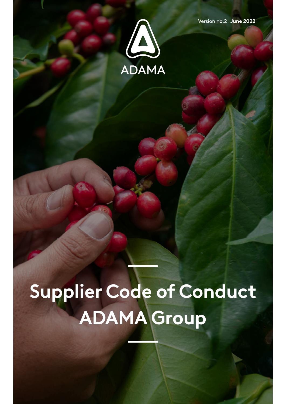

**Version no.2 June 2022** 

# Supplier Code of Conduct **ADAMA** Group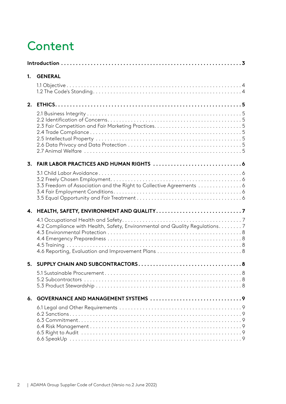# **Content**

| 1.             | <b>GENERAL</b>                                                               |   |
|----------------|------------------------------------------------------------------------------|---|
| 2.             |                                                                              |   |
| 3.             | 3.3 Freedom of Association and the Right to Collective Agreements  6         |   |
| 4.             | 4.2 Compliance with Health, Safety, Environmental and Quality Regulations. 7 |   |
| 5 <sub>1</sub> | 5.1 Sustainable Procurement .                                                | 8 |
|                |                                                                              |   |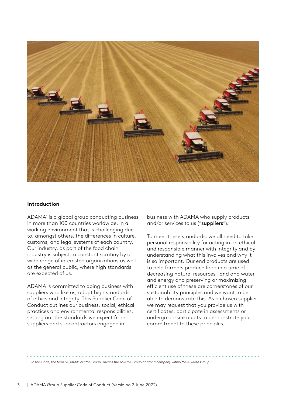<span id="page-2-0"></span>

#### **Introduction**

ADAMA<sup>1</sup> is a global group conducting business in more than 100 countries worldwide, in a working environment that is challenging due to, amongst others, the differences in culture, customs, and legal systems of each country. Our industry, as part of the food chain industry is subject to constant scrutiny by a wide range of interested organizations as well as the general public, where high standards are expected of us.

ADAMA is committed to doing business with suppliers who like us, adopt high standards of ethics and integrity. This Supplier Code of Conduct outlines our business, social, ethical practices and environmental responsibilities, setting out the standards we expect from suppliers and subcontractors engaged in

business with ADAMA who supply products and/or services to us ("suppliers").

To meet these standards, we all need to take personal responsibility for acting in an ethical and responsible manner with integrity and by understanding what this involves and why it is so important. Our end products are used to help farmers produce food in a time of decreasing natural resources, land and water and energy and preserving or maximizing efficient use of these are cornerstones of our sustainability principles and we want to be able to demonstrate this. As a chosen supplier we may request that you provide us with certificates, participate in assessments or undergo on-site audits to demonstrate your commitment to these principles.

1 In this Code, the term "ADAMA" or "the Group" means the ADAMA Group and/or a company within the ADAMA Group.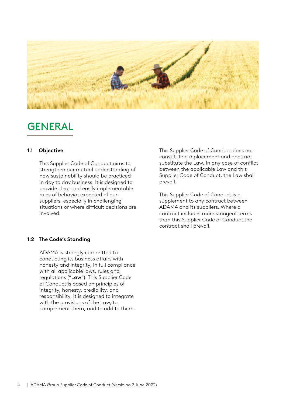<span id="page-3-0"></span>

### GENERAL

#### **Objective 1.1**

This Supplier Code of Conduct aims to strengthen our mutual understanding of how sustainability should be practiced in day to day business. It is designed to provide clear and easily implementable rules of behavior expected of our suppliers, especially in challenging situations or where difficult decisions are .involved

This Supplier Code of Conduct does not constitute a replacement and does not substitute the Law. In any case of conflict between the applicable Law and this Supplier Code of Conduct, the Law shall prevail.

This Supplier Code of Conduct is a supplement to any contract between ADAMA and its suppliers. Where a contract includes more stringent terms than this Supplier Code of Conduct the contract shall prevail.

#### **1.2 The Code's Standing**

ADAMA is strongly committed to conducting its business affairs with honesty and integrity, in full compliance with all applicable laws, rules and regulations ("Law"). This Supplier Code of Conduct is based on principles of integrity, honesty, credibility, and responsibility. It is designed to integrate with the provisions of the Law, to complement them, and to add to them.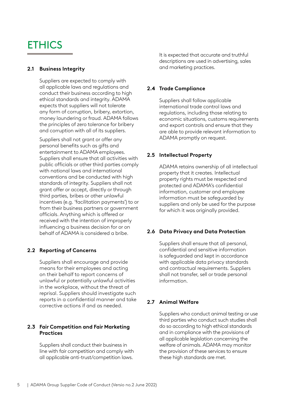# <span id="page-4-0"></span>**ETHICS**

#### **2.1 Business Integrity**

Suppliers are expected to comply with all applicable laws and regulations and conduct their business according to high ethical standards and integrity. ADAMA expects that suppliers will not tolerate any form of corruption, bribery, extortion, money laundering or fraud. ADAMA follows the principles of zero tolerance for bribery and corruption with all of its suppliers.

Suppliers shall not grant or offer any personal benefits such as gifts and entertainment to ADAMA employees. Suppliers shall ensure that all activities with public officials or other third parties comply with national laws and international conventions and be conducted with high standards of integrity. Suppliers shall not grant offer or accept, directly or through third parties, bribes or other unlawful incentives (e.g. 'facilitation payments') to or from their business partners or government officials. Anything which is offered or received with the intention of improperly influencing a business decision for or on behalf of ADAMA is considered a bribe.

#### **Concerns of Reporting 2.2**

Suppliers shall encourage and provide means for their employees and acting on their behalf to report concerns of unlawful or potentially unlawful activities in the workplace, without the threat of reprisal. Suppliers should investigate such reports in a confidential manner and take corrective actions if and as needed.

#### **2.3 Fair Competition and Fair Marketing Practices**

Suppliers shall conduct their business in line with fair competition and comply with all applicable anti-trust/competition laws.

It is expected that accurate and truthful descriptions are used in advertising, sales and marketing practices.

#### **Compliance Trade 2.4**

Suppliers shall follow applicable international trade control laws and regulations, including those relating to economic situations, customs requirements and export controls and ensure that they are able to provide relevant information to ADAMA promptly on request.

#### **Property Intellectual 2.5**

ADAMA retains ownership of all intellectual property that it creates. Intellectual property rights must be respected and protected and ADAMA's confidential information, customer and employee information must be safeguarded by suppliers and only be used for the purpose for which it was originally provided.

#### **2.6 Data Privacy and Data Protection**

Suppliers shall ensure that all personal. confidential and sensitive information is safeguarded and kept in accordance with applicable data privacy standards and contractual requirements. Suppliers shall not transfer, sell or trade personal .information

#### **Welfare Animal 2.7**

Suppliers who conduct animal testing or use third parties who conduct such studies shall do so according to high ethical standards and in compliance with the provisions of all applicable legislation concerning the welfare of animals. ADAMA may monitor the provision of these services to ensure these high standards are met.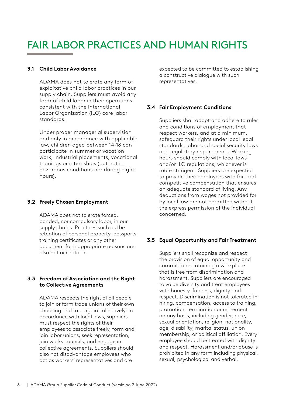# <span id="page-5-0"></span>FAIR LABOR PRACTICES AND HUMAN RIGHTS

#### **Audie 2.1 Child Labor Avoidance**

ADAMA does not tolerate any form of exploitative child labor practices in our supply chain. Suppliers must avoid any form of child labor in their operations consistent with the International Labor Organization (ILO) core labor .standards

Under proper managerial supervision and only in accordance with applicable law, children aged between 14-18 can participate in summer or vacation work, industrial placements, vocational trainings or internships (but not in hazardous conditions nor during night hours).

#### **Employment Chosen Freely 3.2**

ADAMA does not tolerate forced. bonded, nor compulsory labor, in our supply chains. Practices such as the retention of personal property, passports, training certificates or any other document for inappropriate reasons are also not acceptable.

#### **3.3 Freedom of Association and the Right** to Collective Agreements

ADAMA respects the right of all people to join or form trade unions of their own choosing and to bargain collectively. In accordance with local laws, suppliers must respect the rights of their employees to associate freely, form and join labor unions, seek representation, join works councils, and engage in collective agreements. Suppliers should also not disadvantage employees who act as workers' representatives and are

expected to be committed to establishing a constructive dialogue with such .representatives

#### **Conditions Employment Conditions**

Suppliers shall adopt and adhere to rules and conditions of employment that respect workers, and at a minimum, safeguard their rights under local legal standards, labor and social security laws and requlatory requirements. Working hours should comply with local laws and/or ILO regulations, whichever is more stringent. Suppliers are expected to provide their employees with fair and competitive compensation that ensures an adequate standard of living. Any deductions from wages not provided for by local law are not permitted without the express permission of the individual .concerned

#### **3.5 Equal Opportunity and Fair Treatment**

Suppliers shall recognize and respect the provision of equal opportunity and commit to maintaining a workplace that is free from discrimination and harassment. Suppliers are encouraged to value diversity and treat employees with honesty, fairness, dignity and respect. Discrimination is not tolerated in hiring, compensation, access to training, promotion, termination or retirement on any basis, including gender, race, sexual orientation, religion, nationality, age, disability, marital status, union membership, or political affiliation. Every employee should be treated with dignity and respect. Harassment and/or abuse is prohibited in any form including physical, sexual, psychological and verbal.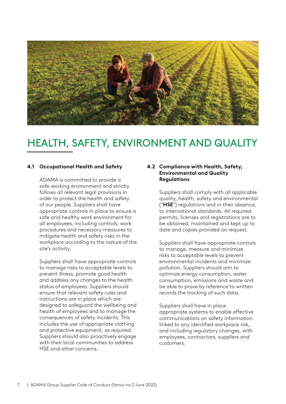<span id="page-6-0"></span>

# HEALTH, SAFETY, ENVIRONMENT AND QUALITY

#### **4.1 Occupational Health and Safety**

ADAMA is committed to provide a safe working environment and strictly follows all relevant legal provisions in order to protect the health and safety of our people. Suppliers shall have appropriate controls in place to ensure a safe and healthy work environment for all employees, including controls, work procedures and necessary measures to mitigate health and safety risks in the workplace according to the nature of the site's activity.

Suppliers shall have appropriate controls to manage risks to acceptable levels to prevent illness, promote good health and address any changes to the health status of employees. Suppliers should ensure that relevant safety rules and instructions are in place which are designed to safeguard the wellbeing and health of employees and to manage the consequences of safety incidents. This includes the use of appropriate clothing and protective equipment, as required. Suppliers should also proactively engage with their local communities to address HSE and other concerns.

#### **4.2 Compliance with Health, Safety, Environmental and Quality Regulations**

Suppliers shall comply with all applicable quality, health, safety and environmental ("HSE") regulations and in their absence, to international standards. All required permits, licenses and registrations are to be obtained, maintained and kept up to date and copies provided on request.

Suppliers shall have appropriate controls to manage, measure and minimize risks to acceptable levels to prevent environmental incidents and minimize pollution. Suppliers should aim to optimize energy consumption, water consumption, emissions and waste and be able to prove by reference to written records the tracking of such data.

Suppliers shall have in place appropriate systems to enable effective communications on safety information linked to any identified workplace risk, and including regulatory changes, with employees, contractors, suppliers and .customers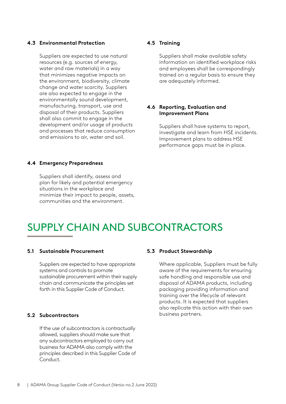#### <span id="page-7-0"></span>**Protection Environmental 4.3**

Suppliers are expected to use natural resources (e.g. sources of energy, water and raw materials) in a way that minimizes negative impacts on the environment, biodiversity, climate change and water scarcity. Suppliers are also expected to engage in the environmentally sound development, manufacturing, transport, use and disposal of their products. Suppliers shall also commit to engage in the development and/or usage of products and processes that reduce consumption and emissions to air, water and soil.

#### **4.4 Emergency Preparedness**

Suppliers shall identify, assess and plan for likely and potential emergency situations in the workplace and minimize their impact to people, assets, communities and the environment.

#### **Training 4.5**

Suppliers shall make available safety information on identified workplace risks and employees shall be correspondingly trained on a regular basis to ensure they are adequately informed.

#### **4.6 Reporting, Evaluation and Improvement Plans**

Suppliers shall have systems to report, investigate and learn from HSE incidents. Improvement plans to address HSE performance gaps must be in place.

## **SUPPLY CHAIN AND SUBCONTRACTORS**

#### **5.1 Sustainable Procurement**

Suppliers are expected to have appropriate systems and controls to promote sustainable procurement within their supply chain and communicate the principles set forth in this Supplier Code of Conduct.

#### **Subcontractors 5.2**

If the use of subcontractors is contractually allowed, suppliers should make sure that any subcontractors employed to carry out business for ADAMA also comply with the principles described in this Supplier Code of .Conduct

#### **5.3 Product Stewardship**

Where applicable, Suppliers must be fully aware of the requirements for ensuring safe handling and responsible use and disposal of ADAMA products, including packaging providing information and training over the lifecycle of relevant products. It is expected that suppliers also replicate this action with their own business partners.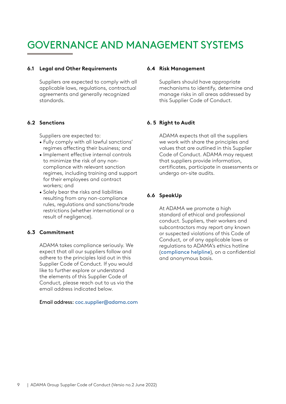# <span id="page-8-0"></span>GOVERNANCE AND MANAGEMENT SYSTEMS

#### **6.1 Legal and Other Requirements**

Suppliers are expected to comply with all applicable laws, regulations, contractual agreements and generally recognized .standards

#### **Sanctions 6.2**

Suppliers are expected to:

- Fully comply with all lawful sanctions' regimes affecting their business; and
- Implement effective internal controls compliance with relevant sanction to minimize the risk of any nonregimes, including training and support for their employees and contract workers; and
- Solely bear the risks and liabilities resulting from any non-compliance rules, regulations and sanctions/trade restrictions (whether international or a result of negligence).

#### **Commitment 6.3**

ADAMA takes compliance seriously. We expect that all our suppliers follow and adhere to the principles laid out in this Supplier Code of Conduct. If you would like to further explore or understand the elements of this Supplier Code of Conduct, please reach out to us via the email address indicated below

#### Email addre[s](mailto:coc.supplier%40adama.com?subject=)s: coc.supplier@adama.com

#### **6.4 Risk Management**

Suppliers should have appropriate mechanisms to identify, determine and manage risks in all areas addressed by this Supplier Code of Conduct.

#### **Audit to Right 5 6.**

ADAMA expects that all the suppliers we work with share the principles and values that are outlined in this Supplier Code of Conduct. ADAMA may request that suppliers provide information, certificates, participate in assessments or undergo on-site audits.

#### **SpeakUp 6.6**

At ADAMA we promote a high standard of ethical and professional conduct. Suppliers, their workers and subcontractors may report any known or suspected violations of this Code of Conduct, or of any applicable laws or regulations to ADAMA's ethics hotline (compliance helpline), on a confidential and anonymous basis.